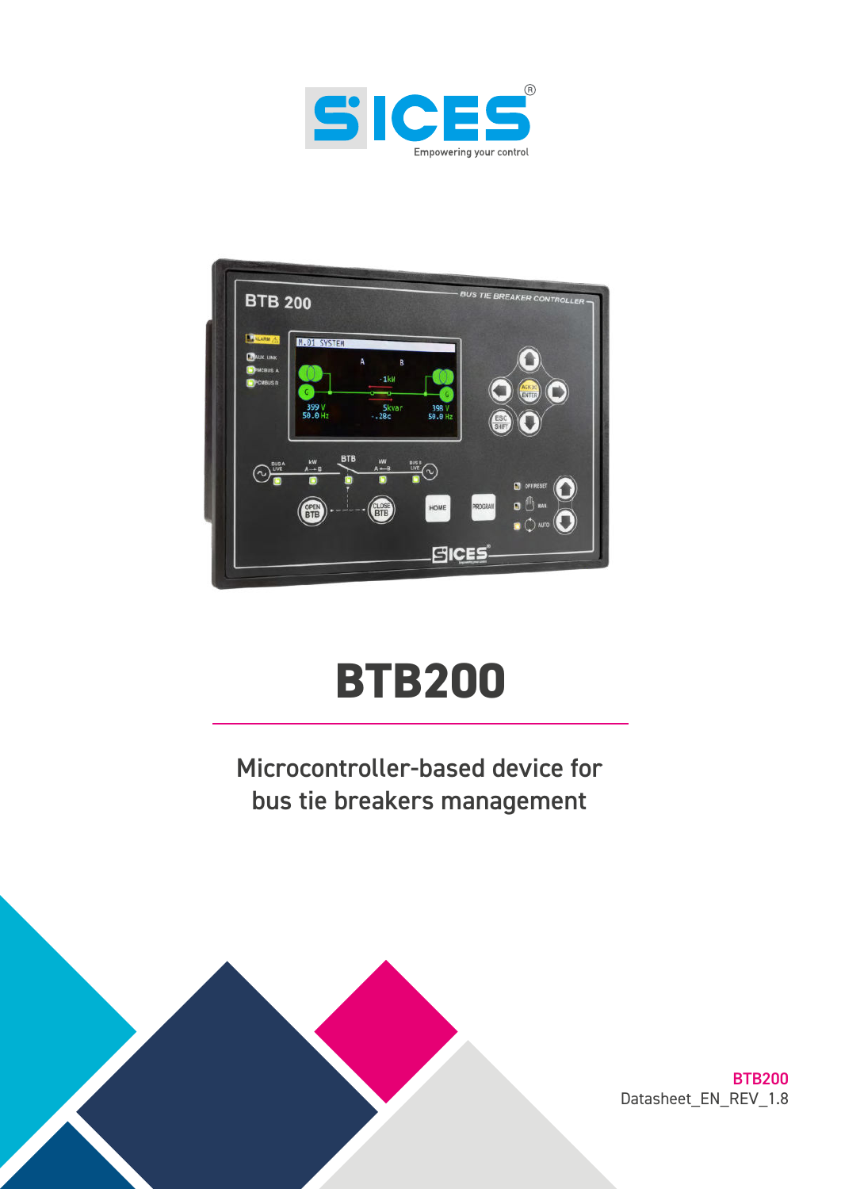



# **BTB200**

Microcontroller-based device for bus tie breakers management



BTB200 Datasheet\_EN\_REV\_1.8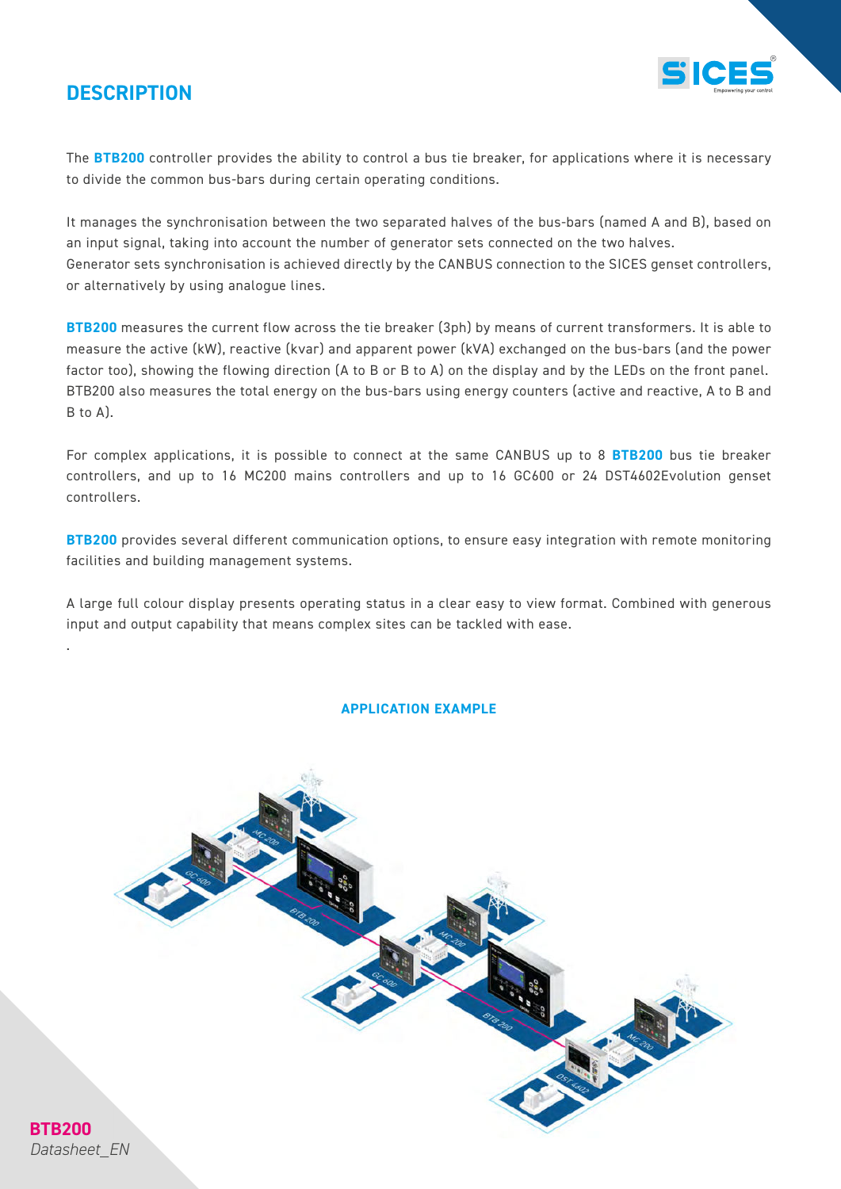### **DESCRIPTION**



The **BTB200** controller provides the ability to control a bus tie breaker, for applications where it is necessary to divide the common bus-bars during certain operating conditions.

It manages the synchronisation between the two separated halves of the bus-bars (named A and B), based on an input signal, taking into account the number of generator sets connected on the two halves. Generator sets synchronisation is achieved directly by the CANBUS connection to the SICES genset controllers, or alternatively by using analogue lines.

**BTB200** measures the current flow across the tie breaker (3ph) by means of current transformers. It is able to measure the active (kW), reactive (kvar) and apparent power (kVA) exchanged on the bus-bars (and the power factor too), showing the flowing direction (A to B or B to A) on the display and by the LEDs on the front panel. BTB200 also measures the total energy on the bus-bars using energy counters (active and reactive, A to B and B to A).

For complex applications, it is possible to connect at the same CANBUS up to 8 **BTB200** bus tie breaker controllers, and up to 16 MC200 mains controllers and up to 16 GC600 or 24 DST4602Evolution genset controllers.

**BTB200** provides several different communication options, to ensure easy integration with remote monitoring facilities and building management systems.

A large full colour display presents operating status in a clear easy to view format. Combined with generous input and output capability that means complex sites can be tackled with ease.

#### **APPLICATION EXAMPLE**



*Datasheet\_EN*

**BTB200**

.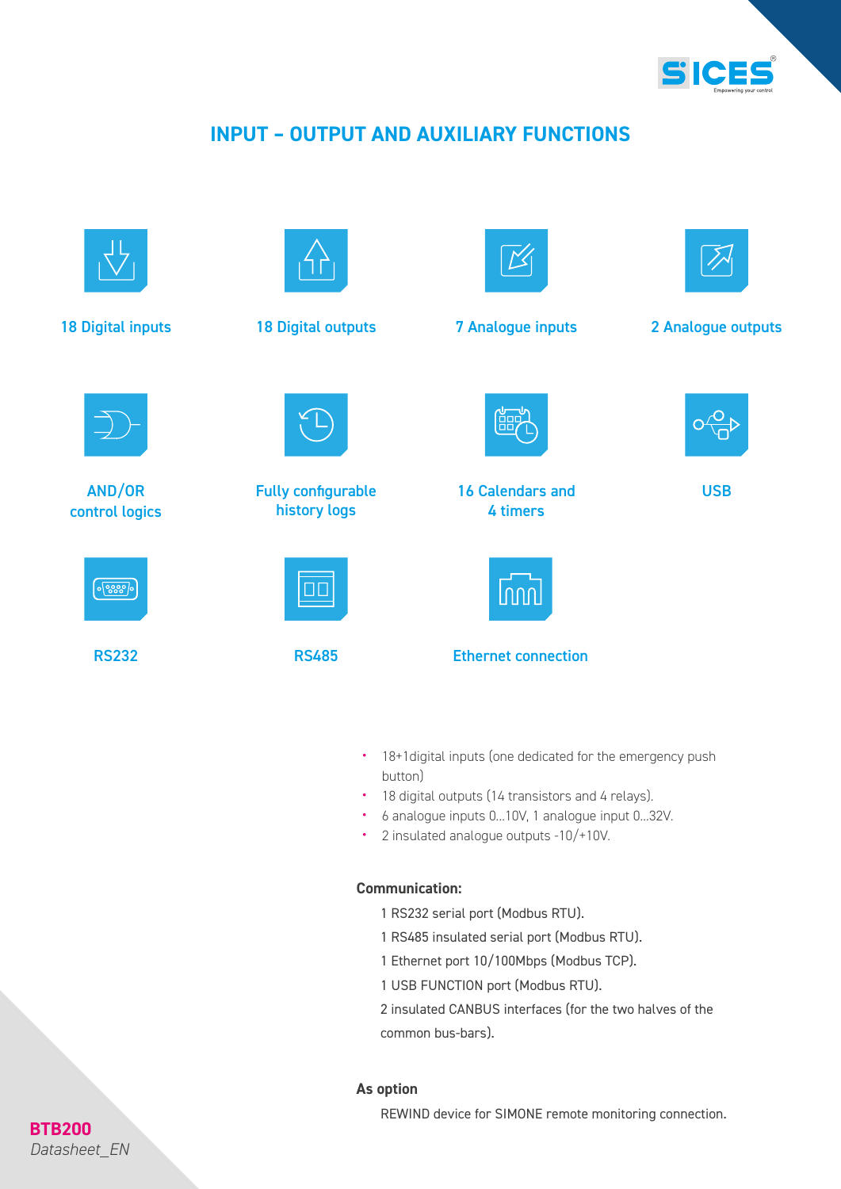

## **INPUT – OUTPUT AND AUXILIARY FUNCTIONS**



- 18+1digital inputs (one dedicated for the emergency push button)
- 18 digital outputs (14 transistors and 4 relays).
- 6 analogue inputs 0...10V, 1 analogue input 0...32V.
- 2 insulated analogue outputs -10/+10V.

#### **Communication:**

- 1 RS232 serial port (Modbus RTU).
- 1 RS485 insulated serial port (Modbus RTU).
- 1 Ethernet port 10/100Mbps (Modbus TCP).
- 1 USB FUNCTION port (Modbus RTU).

2 insulated CANBUS interfaces (for the two halves of the common bus-bars).

#### **As option**

REWIND device for SIMONE remote monitoring connection.

## **BTB200** *Datasheet\_EN*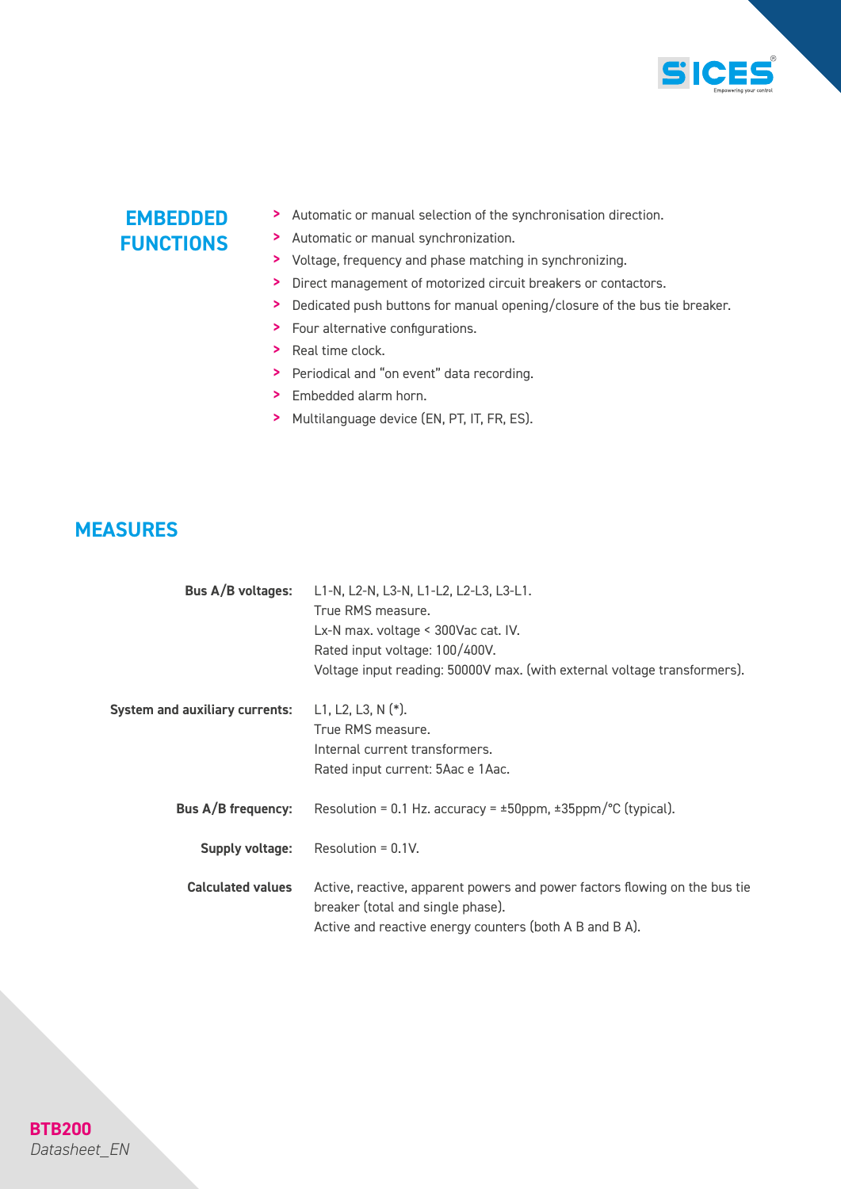

## **EMBEDDED FUNCTIONS**

- > Automatic or manual selection of the synchronisation direction.
- > Automatic or manual synchronization.
- > Voltage, frequency and phase matching in synchronizing.
- > Direct management of motorized circuit breakers or contactors.
- > Dedicated push buttons for manual opening/closure of the bus tie breaker.
- > Four alternative configurations.
- > Real time clock.
- > Periodical and "on event" data recording.
- > Embedded alarm horn.
- > Multilanguage device (EN, PT, IT, FR, ES).

#### **MEASURES**

| Bus A/B voltages:                     | L1-N, L2-N, L3-N, L1-L2, L2-L3, L3-L1.<br>True RMS measure.<br>Lx-N max. voltage < 300Vac cat. IV.<br>Rated input voltage: 100/400V.<br>Voltage input reading: 50000V max. (with external voltage transformers). |
|---------------------------------------|------------------------------------------------------------------------------------------------------------------------------------------------------------------------------------------------------------------|
| <b>System and auxiliary currents:</b> | L1, L2, L3, N $(*)$ .<br>True RMS measure.<br>Internal current transformers.<br>Rated input current: 5Aac e 1Aac.                                                                                                |
| Bus A/B frequency:                    | Resolution = 0.1 Hz. accuracy = $\pm$ 50ppm, $\pm$ 35ppm/ $\degree$ C (typical).                                                                                                                                 |
| Supply voltage:                       | Resolution = $0.1V$ .                                                                                                                                                                                            |
| <b>Calculated values</b>              | Active, reactive, apparent powers and power factors flowing on the bus tie<br>breaker (total and single phase).<br>Active and reactive energy counters (both A B and B A).                                       |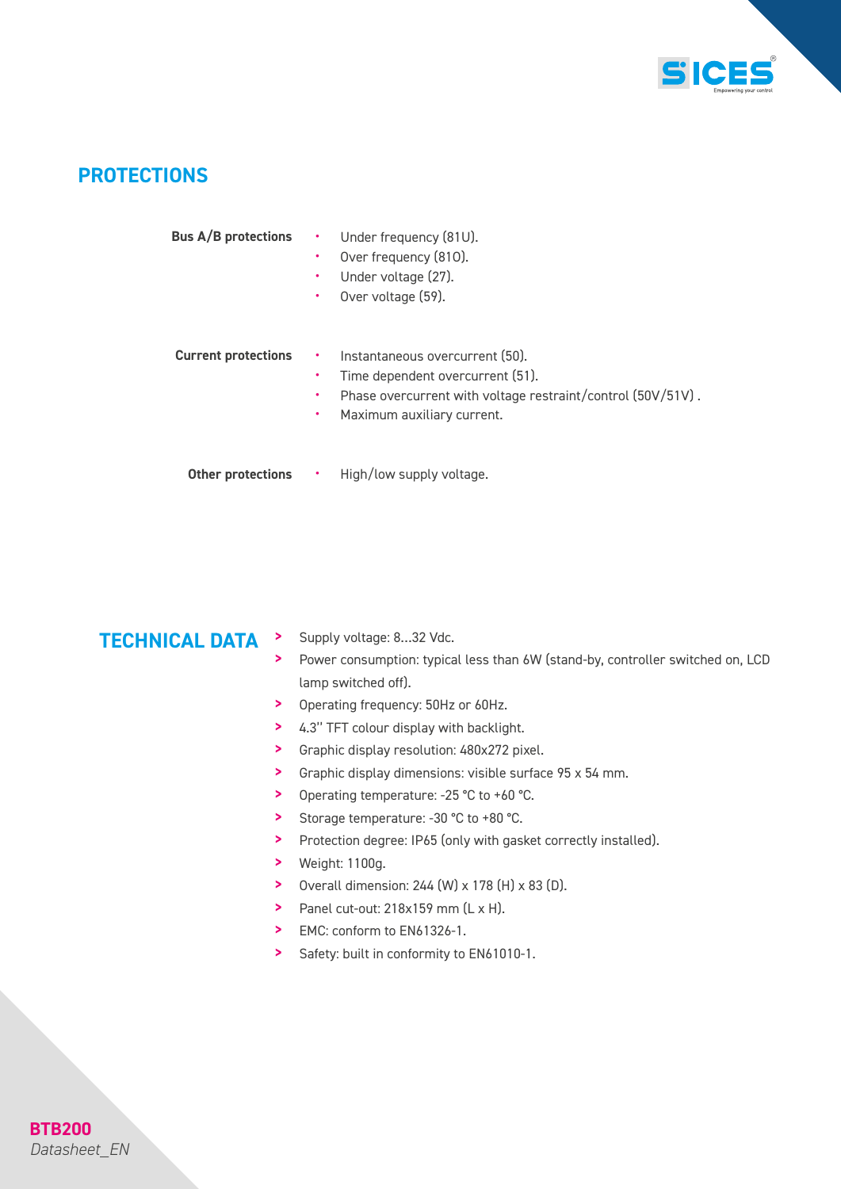

#### **PROTECTIONS**

| <b>Bus A/B protections</b> | ٠<br>٠<br>٠<br>٠  | Under frequency (81U).<br>Over frequency (810).<br>Under voltage (27).<br>Over voltage (59).                                                                     |
|----------------------------|-------------------|------------------------------------------------------------------------------------------------------------------------------------------------------------------|
| <b>Current protections</b> | ٠.<br>٠<br>٠<br>٠ | Instantaneous overcurrent (50).<br>Time dependent overcurrent (51).<br>Phase overcurrent with voltage restraint/control (50V/51V).<br>Maximum auxiliary current. |
| Other protections          | $\bullet$         | High/low supply voltage.                                                                                                                                         |

## **TECHNICAL DATA** > Supply voltage: 8...32 Vdc.

- 
- Power consumption: typical less than 6W (stand-by, controller switched on, LCD lamp switched off).
- > Operating frequency: 50Hz or 60Hz.
- > 4.3'' TFT colour display with backlight.
- > Graphic display resolution: 480x272 pixel.
- > Graphic display dimensions: visible surface 95 x 54 mm.
- > Operating temperature: -25 °C to +60 °C.
- > Storage temperature: -30 °C to +80 °C.
- > Protection degree: IP65 (only with gasket correctly installed).
- > Weight: 1100g.
- > Overall dimension:  $244$  (W)  $\times$  178 (H)  $\times$  83 (D).
- $\sum_{n=1}^{\infty}$  Panel cut-out: 218x159 mm  $(L \times H)$ .
- > EMC: conform to EN61326-1.
- > Safety: built in conformity to EN61010-1.